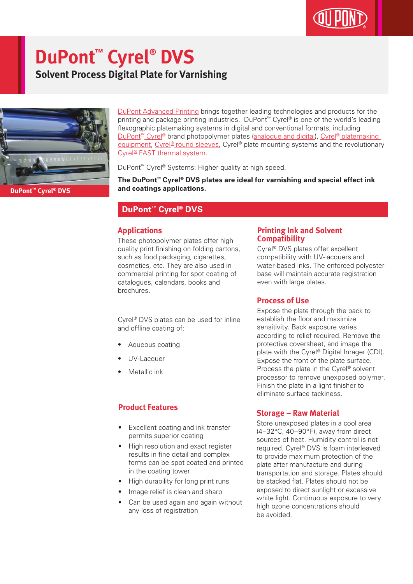# **DuPont™ Cyrel® DVS**

**Solvent Process Digital Plate for Varnishing**



[DuPont Advanced Printing](http://www.dupont.co.uk/products-and-services/printing-package-printing.html) brings together leading technologies and products for the printing and package printing industries. DuPont™ Cyrel® is one of the world's leading flexographic platemaking systems in digital and conventional formats, including [DuPont™ Cyrel®](http://www.dupont.co.uk/products-and-services/printing-package-printing/flexographic-platemaking-systems/brands/cyrel.html) brand photopolymer plates ([analogue and digital\)](http://www.dupont.co.uk/products-and-services/printing-package-printing/flexographic-platemaking-systems/brands/cyrel/products/cyrel-flexo-plates.html), [Cyrel® platemaking](http://www.dupont.co.uk/products-and-services/printing-package-printing/flexographic-platemaking-systems/brands/cyrel/products/cyrel-platemaking-equipment.html)  [equipment,](http://www.dupont.co.uk/products-and-services/printing-package-printing/flexographic-platemaking-systems/brands/cyrel/products/cyrel-platemaking-equipment.html) Cyrel<sup>®</sup> round sleeves, Cyrel® plate mounting systems and the revolutionary [Cyrel® FAST thermal system](http://www.dupont.co.uk/products-and-services/printing-package-printing/flexographic-platemaking-systems/brands/cyrel/products/cyrel-FAST-thermal-workflow.html).

DuPont™ Cyrel® Systems: Higher quality at high speed.

**The DuPont™ Cyrel® DVS plates are ideal for varnishing and special effect ink and coatings applications.**

#### **DuPont™ Cyrel® DVS**

#### **Applications**

These photopolymer plates offer high quality print finishing on folding cartons, such as food packaging, cigarettes, cosmetics, etc. They are also used in commercial printing for spot coating of catalogues, calendars, books and brochures.

Cyrel® DVS plates can be used for inline and offline coating of:

- Aqueous coating
- UV-Lacquer
- Metallic ink

#### **Product Features**

- Excellent coating and ink transfer permits superior coating
- High resolution and exact register results in fine detail and complex forms can be spot coated and printed in the coating tower
- High durability for long print runs
- Image relief is clean and sharp
- Can be used again and again without any loss of registration

#### **Printing Ink and Solvent Compatibility**

Cyrel® DVS plates offer excellent compatibility with UV-lacquers and water-based inks. The enforced polyester base will maintain accurate registration even with large plates.

#### **Process of Use**

Expose the plate through the back to establish the floor and maximize sensitivity. Back exposure varies according to relief required. Remove the protective coversheet, and image the plate with the Cyrel® Digital Imager (CDI). Expose the front of the plate surface. Process the plate in the Cyrel® solvent processor to remove unexposed polymer. Finish the plate in a light finisher to eliminate surface tackiness.

#### **Storage – Raw Material**

Store unexposed plates in a cool area (4–32°C, 40–90°F), away from direct sources of heat. Humidity control is not required. Cyrel® DVS is foam interleaved to provide maximum protection of the plate after manufacture and during transportation and storage. Plates should be stacked flat. Plates should not be exposed to direct sunlight or excessive white light. Continuous exposure to very high ozone concentrations should be avoided.